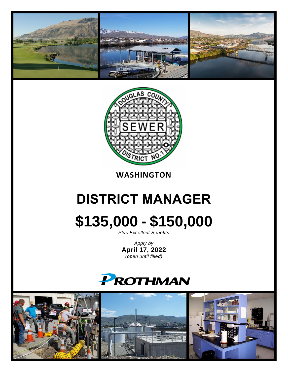



### **WASHINGTON**

# **DISTRICT MANAGER \$135,000 - \$150,000**

*Plus Excellent Benefits*

*Apply by* **April 17, 2022** *(open until filled)*

## **PROTHMAN**

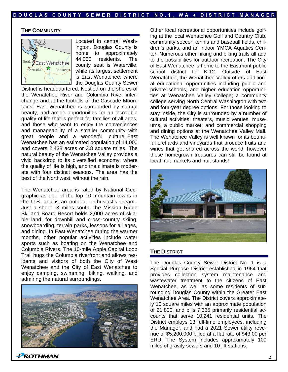#### **THE COMMUNITY**



Located in central Washington, Douglas County is home to approximately 44,000 residents. The county seat is Waterville, while its largest settlement is East Wenatchee, where the Douglas County Sewer

District is headquartered. Nestled on the shores of the Wenatchee River and Columbia River interchange and at the foothills of the Cascade Mountains, East Wenatchee is surrounded by natural beauty, and ample opportunities for an incredible quality of life that is perfect for families of all ages, and those who want to enjoy the conveniences and manageability of a smaller community with great people and a wonderful culture. East Wenatchee has an estimated population of 14,000 and covers 2,438 acres or 3.8 square miles. The natural beauty of the Wenatchee Valley provides a vivid backdrop to its diversified economy, where the quality of life is high, and the climate is moderate with four distinct seasons. The area has the best of the Northwest, without the rain.

The Wenatchee area is rated by National Geographic as one of the top 10 mountain towns in the U.S. and is an outdoor enthusiast's dream. Just a short 13 miles south, the Mission Ridge Ski and Board Resort holds 2,000 acres of skiable land, for downhill and cross-country skiing, snowboarding, terrain parks, lessons for all ages, and dining. In East Wenatchee during the warmer months, other popular activities include water sports such as boating on the Wenatchee and Columbia Rivers. The 10-mile Apple Capital Loop Trail hugs the Columbia riverfront and allows residents and visitors of both the City of West Wenatchee and the City of East Wenatchee to enjoy camping, swimming, biking, walking, and admiring the natural surroundings.



Other local recreational opportunities include golfing at the local Wenatchee Golf and Country Club, community soccer, tennis and baseball fields, children's parks, and an indoor YMCA Aquatics Center. Numerous other hiking and biking trails all add to the possibilities for outdoor recreation. The City of East Wenatchee is home to the Eastmont public school district for K-12. Outside of East Wenatchee, the Wenatchee Valley offers additional educational opportunities including public and private schools, and higher education opportunities at Wenatchee Valley College; a community college serving North Central Washington with two and four-year degree options. For those looking to stay inside, the City is surrounded by a number of cultural activities, theaters, music venues, museums, a public market, and commercial shopping and dining options at the Wenatchee Valley Mall. The Wenatchee Valley is well known for its bountiful orchards and vineyards that produce fruits and wines that get shared across the world, however these homegrown treasures can still be found at local fruit markets and fruit stands!



#### **THE DISTRICT**

The Douglas County Sewer District No. 1 is a Special Purpose District established in 1964 that provides collection system maintenance and wastewater treatment to the citizens of East Wenatchee, as well as some residents of surrounding Douglas County within the Greater East Wenatchee Area. The District covers approximately 10 square miles with an approximate population of 21,800, and bills 7,365 primarily residential accounts that serve 10,241 residential units. The District employs 13 full-time employees, including the Manager, and had a 2021 Sewer utility revenue of \$5,200,000 billed at a flat rate of \$43.00 per ERU. The System includes approximately 100 miles of gravity sewers and 10 lift stations.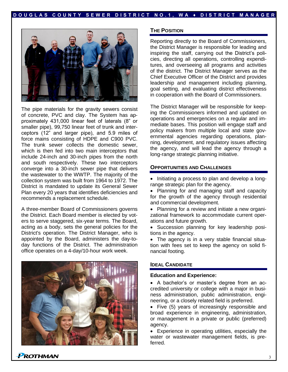

The pipe materials for the gravity sewers consist of concrete, PVC and clay. The System has approximately 431,000 linear feet of laterals (8" or smaller pipe), 99,750 linear feet of trunk and interceptors (12" and larger pipe), and 5.9 miles of force mains consisting of HDPE and C900 PVC. The trunk sewer collects the domestic sewer, which is then fed into two main interceptors that include 24-inch and 30-inch pipes from the north and south respectively. These two interceptors converge into a 30-inch sewer pipe that delivers the wastewater to the WWTP. The majority of the collection system was built from 1964 to 1972. The District is mandated to update its General Sewer Plan every 20 years that identifies deficiencies and recommends a replacement schedule.

A three-member Board of Commissioners governs the District. Each Board member is elected by voters to serve staggered, six-year terms. The Board, acting as a body, sets the general policies for the District's operation. The District Manager, who is appointed by the Board, administers the day-today functions of the District. The administration office operates on a 4-day/10-hour work week.



#### **THE POSITION**

Reporting directly to the Board of Commissioners, the District Manager is responsible for leading and inspiring the staff, carrying out the District's policies, directing all operations, controlling expenditures, and overseeing all programs and activities of the district. The District Manager serves as the Chief Executive Officer of the District and provides leadership and management including planning, goal setting, and evaluating district effectiveness in cooperation with the Board of Commissioners.

The District Manager will be responsible for keeping the Commissioners informed and updated on operations and emergencies on a regular and immediate bases. This position will engage staff and policy makers from multiple local and state governmental agencies regarding operations, planning, development, and regulatory issues affecting the agency, and will lead the agency through a long-range strategic planning initiative.

#### **OPPORTUNITIES AND CHALLENGES**

- Initiating a process to plan and develop a longrange strategic plan for the agency.
- Planning for and managing staff and capacity for the growth of the agency through residential and commercial development.
- Planning for a review and initiate a new organizational framework to accommodate current operations and future growth.
- Succession planning for key leadership positions in the agency.
- The agency is in a very stable financial situation with fees set to keep the agency on solid financial footing.

#### **IDEAL CANDIDATE**

#### **Education and Experience:**

- A bachelor's or master's degree from an accredited university or college with a major in business administration, public administration, engineering, or a closely related field is preferred.
- Five (5) years of increasingly responsible and broad experience in engineering, administration, or management in a private or public (preferred) agency.
- Experience in operating utilities, especially the water or wastewater management fields, is preferred.